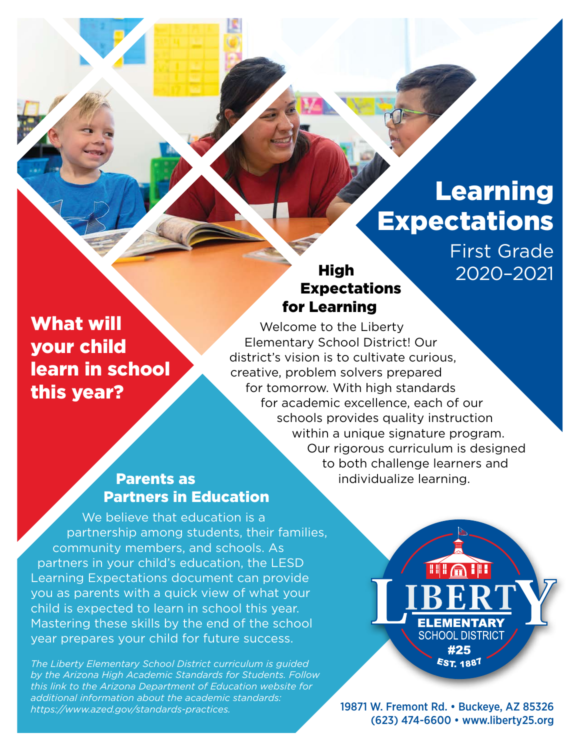# Learning Expectations

First Grade 2020–2021

## High Expectations for Learning

What will your child learn in school this year?

Welcome to the Liberty Elementary School District! Our district's vision is to cultivate curious, creative, problem solvers prepared for tomorrow. With high standards for academic excellence, each of our schools provides quality instruction within a unique signature program. Our rigorous curriculum is designed to both challenge learners and individualize learning.

## Parents as Partners in Education

We believe that education is a partnership among students, their families, community members, and schools. As partners in your child's education, the LESD Learning Expectations document can provide you as parents with a quick view of what your child is expected to learn in school this year. Mastering these skills by the end of the school year prepares your child for future success.

*The Liberty Elementary School District curriculum is guided by the Arizona High Academic Standards for Students. Follow this link to the Arizona Department of Education website for additional information about the academic standards: [https://www.azed.gov/standards-practices.](https://www.azed.gov/standards-practices)*

**HIGH ELEMENTARY SCHOOL DISTRICT** #25 **EST. 1887** 

19871 W. Fremont Rd. • Buckeye, AZ 85326 (623) 474-6600 • [www.liberty25.org](http://www.liberty25.org)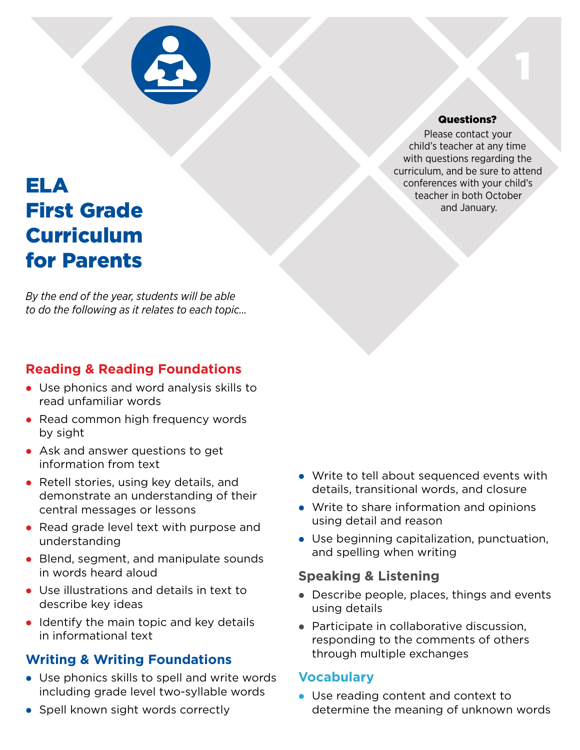

#### Questions?

1

Please contact your child's teacher at any time with questions regarding the curriculum, and be sure to attend conferences with your child's teacher in both October and January.

## ELA First Grade Curriculum for Parents

*By the end of the year, students will be able to do the following as it relates to each topic…*

## **Reading & Reading Foundations**

- Use phonics and word analysis skills to read unfamiliar words
- Read common high frequency words by sight
- Ask and answer questions to get information from text
- Retell stories, using key details, and demonstrate an understanding of their central messages or lessons
- Read grade level text with purpose and understanding
- Blend, segment, and manipulate sounds in words heard aloud
- Use illustrations and details in text to describe key ideas
- $\bullet$  Identify the main topic and key details in informational text

## **Writing & Writing Foundations**

- $\bullet$  Use phonics skills to spell and write words including grade level two-syllable words
- Spell known sight words correctly
- Write to tell about sequenced events with details, transitional words, and closure
- Write to share information and opinions using detail and reason
- Use beginning capitalization, punctuation, and spelling when writing

#### **Speaking & Listening**

- Describe people, places, things and events using details
- Participate in collaborative discussion, responding to the comments of others through multiple exchanges

#### **Vocabulary**

• Use reading content and context to determine the meaning of unknown words